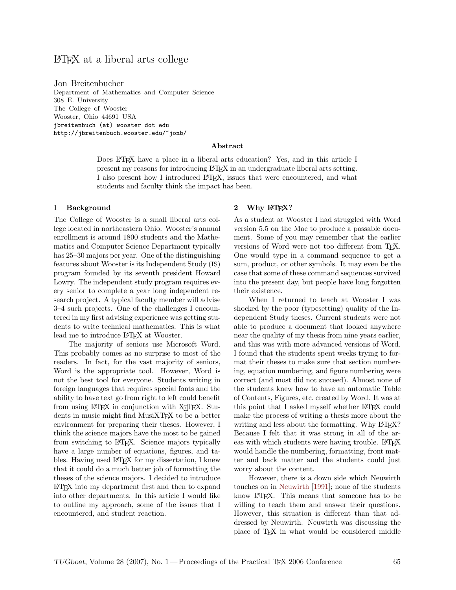# LATEX at a liberal arts college

Jon Breitenbucher Department of Mathematics and Computer Science 308 E. University The College of Wooster Wooster, Ohio 44691 USA jbreitenbuch (at) wooster dot edu http://jbreitenbuch.wooster.edu/~jonb/

#### Abstract

Does LATEX have a place in a liberal arts education? Yes, and in this article I present my reasons for introducing LATEX in an undergraduate liberal arts setting. I also present how I introduced LATEX, issues that were encountered, and what students and faculty think the impact has been.

### 1 Background

The College of Wooster is a small liberal arts college located in northeastern Ohio. Wooster's annual enrollment is around 1800 students and the Mathematics and Computer Science Department typically has 25–30 majors per year. One of the distinguishing features about Wooster is its Independent Study (IS) program founded by its seventh president Howard Lowry. The independent study program requires every senior to complete a year long independent research project. A typical faculty member will advise 3–4 such projects. One of the challenges I encountered in my first advising experience was getting students to write technical mathematics. This is what lead me to introduce LATEX at Wooster.

The majority of seniors use Microsoft Word. This probably comes as no surprise to most of the readers. In fact, for the vast majority of seniors, Word is the appropriate tool. However, Word is not the best tool for everyone. Students writing in foreign languages that requires special fonts and the ability to have text go from right to left could benefit from using  $\text{LATEX}$  in conjunction with X<sub>T</sub>T<sub>E</sub>X. Students in music might find MusiXT<sub>F</sub>X to be a better environment for preparing their theses. However, I think the science majors have the most to be gained from switching to L<sup>AT</sup>EX. Science majors typically have a large number of equations, figures, and tables. Having used LAT<sub>EX</sub> for my dissertation, I knew that it could do a much better job of formatting the theses of the science majors. I decided to introduce LATEX into my department first and then to expand into other departments. In this article I would like to outline my approach, some of the issues that I encountered, and student reaction.

### 2 Why LATEX?

As a student at Wooster I had struggled with Word version 5.5 on the Mac to produce a passable document. Some of you may remember that the earlier versions of Word were not too different from TEX. One would type in a command sequence to get a sum, product, or other symbols. It may even be the case that some of these command sequences survived into the present day, but people have long forgotten their existence.

When I returned to teach at Wooster I was shocked by the poor (typesetting) quality of the Independent Study theses. Current students were not able to produce a document that looked anywhere near the quality of my thesis from nine years earlier, and this was with more advanced versions of Word. I found that the students spent weeks trying to format their theses to make sure that section numbering, equation numbering, and figure numbering were correct (and most did not succeed). Almost none of the students knew how to have an automatic Table of Contents, Figures, etc. created by Word. It was at this point that I asked myself whether LAT<sub>EX</sub> could make the process of writing a thesis more about the writing and less about the formatting. Why LAT<sub>EX</sub>? Because I felt that it was strong in all of the areas with which students were having trouble. LATEX would handle the numbering, formatting, front matter and back matter and the students could just worry about the content.

However, there is a down side which Neuwirth touches on in [Neuwirth](#page-4-0) [\[1991\]](#page-4-0); none of the students know LATEX. This means that someone has to be willing to teach them and answer their questions. However, this situation is different than that addressed by Neuwirth. Neuwirth was discussing the place of TEX in what would be considered middle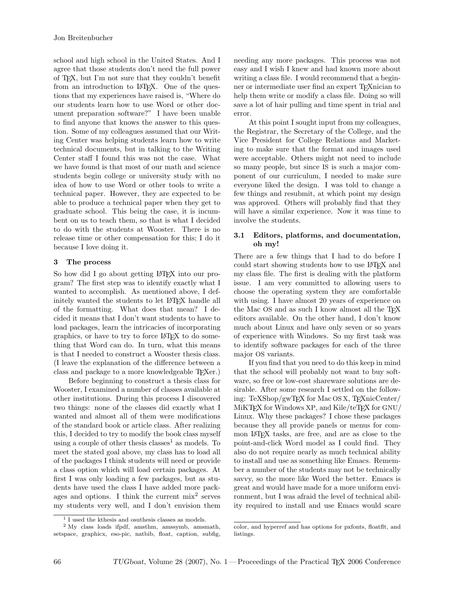school and high school in the United States. And I agree that those students don't need the full power of TEX, but I'm not sure that they couldn't benefit from an introduction to LATEX. One of the questions that my experiences have raised is, "Where do our students learn how to use Word or other document preparation software?" I have been unable to find anyone that knows the answer to this question. Some of my colleagues assumed that our Writing Center was helping students learn how to write technical documents, but in talking to the Writing Center staff I found this was not the case. What we have found is that most of our math and science students begin college or university study with no idea of how to use Word or other tools to write a technical paper. However, they are expected to be able to produce a technical paper when they get to graduate school. This being the case, it is incumbent on us to teach them, so that is what I decided to do with the students at Wooster. There is no release time or other compensation for this; I do it because I love doing it.

## 3 The process

So how did I go about getting LATEX into our program? The first step was to identify exactly what I wanted to accomplish. As mentioned above, I definitely wanted the students to let LAT<sub>EX</sub> handle all of the formatting. What does that mean? I decided it means that I don't want students to have to load packages, learn the intricacies of incorporating graphics, or have to try to force LATEX to do something that Word can do. In turn, what this means is that I needed to construct a Wooster thesis class. (I leave the explanation of the difference between a class and package to a more knowledgeable TEXer.)

Before beginning to construct a thesis class for Wooster, I examined a number of classes available at other institutions. During this process I discovered two things: none of the classes did exactly what I wanted and almost all of them were modifications of the standard book or article class. After realizing this, I decided to try to modify the book class myself using a couple of other thesis classes<sup>[1](#page-1-0)</sup> as models. To meet the stated goal above, my class has to load all of the packages I think students will need or provide a class option which will load certain packages. At first I was only loading a few packages, but as students have used the class I have added more packages and options. I think the current  $mix^2$  $mix^2$  serves my students very well, and I don't envision them needing any more packages. This process was not easy and I wish I knew and had known more about writing a class file. I would recommend that a beginner or intermediate user find an expert TEXnician to help them write or modify a class file. Doing so will save a lot of hair pulling and time spent in trial and error.

At this point I sought input from my colleagues, the Registrar, the Secretary of the College, and the Vice President for College Relations and Marketing to make sure that the format and images used were acceptable. Others might not need to include so many people, but since IS is such a major component of our curriculum, I needed to make sure everyone liked the design. I was told to change a few things and resubmit, at which point my design was approved. Others will probably find that they will have a similar experience. Now it was time to involve the students.

## 3.1 Editors, platforms, and documentation, oh my!

There are a few things that I had to do before I could start showing students how to use LATEX and my class file. The first is dealing with the platform issue. I am very committed to allowing users to choose the operating system they are comfortable with using. I have almost 20 years of experience on the Mac OS and as such I know almost all the TEX editors available. On the other hand, I don't know much about Linux and have only seven or so years of experience with Windows. So my first task was to identify software packages for each of the three major OS variants.

If you find that you need to do this keep in mind that the school will probably not want to buy software, so free or low-cost shareware solutions are desirable. After some research I settled on the following: TeXShop/gwTEX for Mac OS X, TEXnicCenter/ MiKT<sub>F</sub>X for Windows XP, and Kile/teT<sub>F</sub>X for GNU/ Linux. Why these packages? I chose these packages because they all provide panels or menus for common LATEX tasks, are free, and are as close to the point-and-click Word model as I could find. They also do not require nearly as much technical ability to install and use as something like Emacs. Remember a number of the students may not be technically savvy, so the more like Word the better. Emacs is great and would have made for a more uniform environment, but I was afraid the level of technical ability required to install and use Emacs would scare

<span id="page-1-1"></span><span id="page-1-0"></span> $^{\rm 1}$  I used the kthesis and osuthesis classes as models.

<sup>2</sup> My class loads ifpdf, amsthm, amssymb, amsmath, setspace, graphicx, eso-pic, natbib, float, caption, subfig,

color, and hyperref and has options for pxfonts, floatflt, and listings.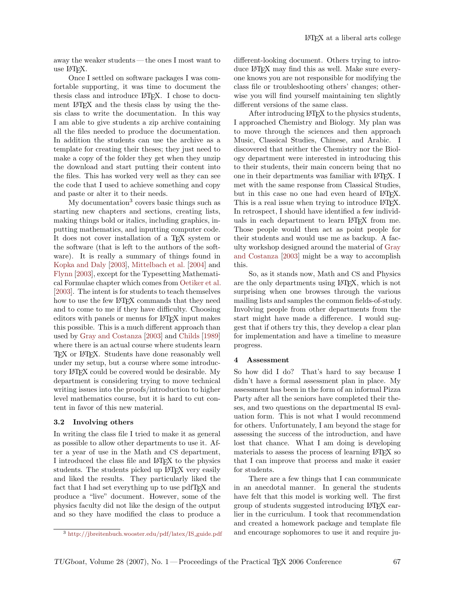away the weaker students— the ones I most want to use LATEX.

Once I settled on software packages I was comfortable supporting, it was time to document the thesis class and introduce LATEX. I chose to document LATEX and the thesis class by using the thesis class to write the documentation. In this way I am able to give students a zip archive containing all the files needed to produce the documentation. In addition the students can use the archive as a template for creating their theses; they just need to make a copy of the folder they get when they unzip the download and start putting their content into the files. This has worked very well as they can see the code that I used to achieve something and copy and paste or alter it to their needs.

My documentation<sup>[3](#page-2-0)</sup> covers basic things such as starting new chapters and sections, creating lists, making things bold or italics, including graphics, inputting mathematics, and inputting computer code. It does not cover installation of a TEX system or the software (that is left to the authors of the software). It is really a summary of things found in [Kopka and Daly](#page-4-1) [\[2003\]](#page-4-1), [Mittelbach et al.](#page-4-2) [\[2004\]](#page-4-2) and [Flynn](#page-4-3) [\[2003\]](#page-4-3), except for the Typesetting Mathematical Formulae chapter which comes from [Oetiker et al.](#page-4-4) [\[2003\]](#page-4-4). The intent is for students to teach themselves how to use the few LAT<sub>EX</sub> commands that they need and to come to me if they have difficulty. Choosing editors with panels or menus for LAT<sub>EX</sub> input makes this possible. This is a much different approach than used by [Gray and Costanza](#page-4-5) [\[2003\]](#page-4-5) and [Childs](#page-4-6) [\[1989\]](#page-4-6) where there is an actual course where students learn T<sub>EX</sub> or LAT<sub>EX</sub>. Students have done reasonably well under my setup, but a course where some introductory LAT<sub>EX</sub> could be covered would be desirable. My department is considering trying to move technical writing issues into the proofs/introduction to higher level mathematics course, but it is hard to cut content in favor of this new material.

#### 3.2 Involving others

In writing the class file I tried to make it as general as possible to allow other departments to use it. After a year of use in the Math and CS department, I introduced the class file and LATEX to the physics students. The students picked up LAT<sub>EX</sub> very easily and liked the results. They particularly liked the fact that I had set everything up to use pdfTFX and produce a "live" document. However, some of the physics faculty did not like the design of the output and so they have modified the class to produce a different-looking document. Others trying to introduce LAT<sub>EX</sub> may find this as well. Make sure everyone knows you are not responsible for modifying the class file or troubleshooting others' changes; otherwise you will find yourself maintaining ten slightly different versions of the same class.

After introducing LATEX to the physics students, I approached Chemistry and Biology. My plan was to move through the sciences and then approach Music, Classical Studies, Chinese, and Arabic. I discovered that neither the Chemistry nor the Biology department were interested in introducing this to their students, their main concern being that no one in their departments was familiar with LATEX. I met with the same response from Classical Studies, but in this case no one had even heard of LAT<sub>EX</sub>. This is a real issue when trying to introduce LAT<sub>EX</sub>. In retrospect, I should have identified a few individuals in each department to learn LATEX from me. Those people would then act as point people for their students and would use me as backup. A faculty workshop designed around the material of [Gray](#page-4-5) [and Costanza](#page-4-5) [\[2003\]](#page-4-5) might be a way to accomplish this.

So, as it stands now, Math and CS and Physics are the only departments using LATEX, which is not surprising when one browses through the various mailing lists and samples the common fields-of-study. Involving people from other departments from the start might have made a difference. I would suggest that if others try this, they develop a clear plan for implementation and have a timeline to measure progress.

#### 4 Assessment

So how did I do? That's hard to say because I didn't have a formal assessment plan in place. My assessment has been in the form of an informal Pizza Party after all the seniors have completed their theses, and two questions on the departmental IS evaluation form. This is not what I would recommend for others. Unfortunately, I am beyond the stage for assessing the success of the introduction, and have lost that chance. What I am doing is developing materials to assess the process of learning LATEX so that I can improve that process and make it easier for students.

There are a few things that I can communicate in an anecdotal manner. In general the students have felt that this model is working well. The first group of students suggested introducing LATEX earlier in the curriculum. I took that recommendation and created a homework package and template file and encourage sophomores to use it and require ju-

<span id="page-2-0"></span><sup>3</sup> [http://jbreitenbuch.wooster.edu/pdf/latex/IS](http://jbreitenbuch.wooster.edu/pdf/latex/IS_guide.pdf) guide.pdf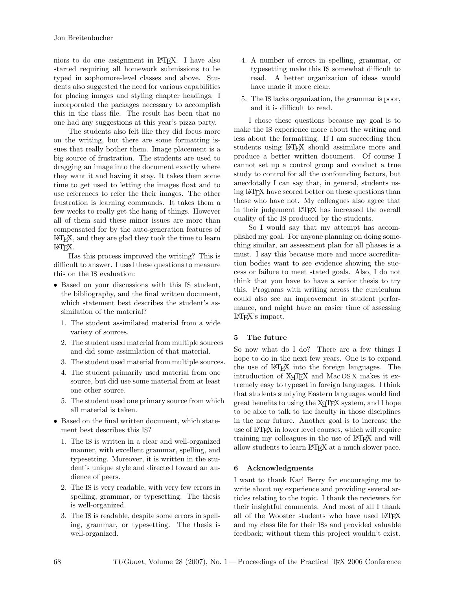niors to do one assignment in LATEX. I have also started requiring all homework submissions to be typed in sophomore-level classes and above. Students also suggested the need for various capabilities for placing images and styling chapter headings. I incorporated the packages necessary to accomplish this in the class file. The result has been that no one had any suggestions at this year's pizza party.

The students also felt like they did focus more on the writing, but there are some formatting issues that really bother them. Image placement is a big source of frustration. The students are used to dragging an image into the document exactly where they want it and having it stay. It takes them some time to get used to letting the images float and to use references to refer the their images. The other frustration is learning commands. It takes them a few weeks to really get the hang of things. However all of them said these minor issues are more than compensated for by the auto-generation features of LATEX, and they are glad they took the time to learn LATEX.

Has this process improved the writing? This is difficult to answer. I used these questions to measure this on the IS evaluation:

- Based on your discussions with this IS student, the bibliography, and the final written document, which statement best describes the student's assimilation of the material?
	- 1. The student assimilated material from a wide variety of sources.
	- 2. The student used material from multiple sources and did some assimilation of that material.
	- 3. The student used material from multiple sources.
	- 4. The student primarily used material from one source, but did use some material from at least one other source.
	- 5. The student used one primary source from which all material is taken.
- Based on the final written document, which statement best describes this IS?
	- 1. The IS is written in a clear and well-organized manner, with excellent grammar, spelling, and typesetting. Moreover, it is written in the student's unique style and directed toward an audience of peers.
	- 2. The IS is very readable, with very few errors in spelling, grammar, or typesetting. The thesis is well-organized.
	- 3. The IS is readable, despite some errors in spelling, grammar, or typesetting. The thesis is well-organized.
- 4. A number of errors in spelling, grammar, or typesetting make this IS somewhat difficult to read. A better organization of ideas would have made it more clear.
- 5. The IS lacks organization, the grammar is poor, and it is difficult to read.

I chose these questions because my goal is to make the IS experience more about the writing and less about the formatting. If I am succeeding then students using LATEX should assimilate more and produce a better written document. Of course I cannot set up a control group and conduct a true study to control for all the confounding factors, but anecdotally I can say that, in general, students using LATEX have scored better on these questions than those who have not. My colleagues also agree that in their judgement LATEX has increased the overall quality of the IS produced by the students.

So I would say that my attempt has accomplished my goal. For anyone planning on doing something similar, an assessment plan for all phases is a must. I say this because more and more accreditation bodies want to see evidence showing the success or failure to meet stated goals. Also, I do not think that you have to have a senior thesis to try this. Programs with writing across the curriculum could also see an improvement in student performance, and might have an easier time of assessing LATEX's impact.

## 5 The future

So now what do I do? There are a few things I hope to do in the next few years. One is to expand the use of LATEX into the foreign languages. The introduction of X<sub>T</sub>T<sub>E</sub>X and Mac OS X makes it extremely easy to typeset in foreign languages. I think that students studying Eastern languages would find great benefits to using the X<sub>T</sub>T<sub>F</sub>X system, and I hope to be able to talk to the faculty in those disciplines in the near future. Another goal is to increase the use of LATEX in lower level courses, which will require training my colleagues in the use of LATEX and will allow students to learn LATEX at a much slower pace.

## 6 Acknowledgments

I want to thank Karl Berry for encouraging me to write about my experience and providing several articles relating to the topic. I thank the reviewers for their insightful comments. And most of all I thank all of the Wooster students who have used LATFX and my class file for their ISs and provided valuable feedback; without them this project wouldn't exist.